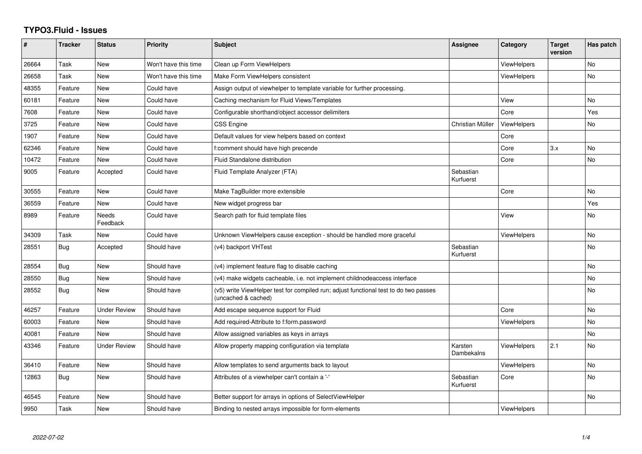## **TYPO3.Fluid - Issues**

| #     | <b>Tracker</b> | <b>Status</b>       | <b>Priority</b>      | <b>Subject</b>                                                                                              | Assignee               | Category           | <b>Target</b><br>version | Has patch |
|-------|----------------|---------------------|----------------------|-------------------------------------------------------------------------------------------------------------|------------------------|--------------------|--------------------------|-----------|
| 26664 | Task           | <b>New</b>          | Won't have this time | Clean up Form ViewHelpers                                                                                   |                        | ViewHelpers        |                          | <b>No</b> |
| 26658 | Task           | New                 | Won't have this time | Make Form ViewHelpers consistent                                                                            |                        | <b>ViewHelpers</b> |                          | No        |
| 48355 | Feature        | New                 | Could have           | Assign output of viewhelper to template variable for further processing.                                    |                        |                    |                          |           |
| 60181 | Feature        | New                 | Could have           | Caching mechanism for Fluid Views/Templates                                                                 |                        | View               |                          | No        |
| 7608  | Feature        | New                 | Could have           | Configurable shorthand/object accessor delimiters                                                           |                        | Core               |                          | Yes       |
| 3725  | Feature        | <b>New</b>          | Could have           | <b>CSS Engine</b>                                                                                           | Christian Müller       | <b>ViewHelpers</b> |                          | No        |
| 1907  | Feature        | New                 | Could have           | Default values for view helpers based on context                                                            |                        | Core               |                          |           |
| 62346 | Feature        | <b>New</b>          | Could have           | f:comment should have high precende                                                                         |                        | Core               | 3.x                      | <b>No</b> |
| 10472 | Feature        | New                 | Could have           | Fluid Standalone distribution                                                                               |                        | Core               |                          | No        |
| 9005  | Feature        | Accepted            | Could have           | Fluid Template Analyzer (FTA)                                                                               | Sebastian<br>Kurfuerst |                    |                          |           |
| 30555 | Feature        | <b>New</b>          | Could have           | Make TagBuilder more extensible                                                                             |                        | Core               |                          | <b>No</b> |
| 36559 | Feature        | <b>New</b>          | Could have           | New widget progress bar                                                                                     |                        |                    |                          | Yes       |
| 8989  | Feature        | Needs<br>Feedback   | Could have           | Search path for fluid template files                                                                        |                        | View               |                          | No        |
| 34309 | Task           | New                 | Could have           | Unknown ViewHelpers cause exception - should be handled more graceful                                       |                        | <b>ViewHelpers</b> |                          | No        |
| 28551 | Bug            | Accepted            | Should have          | (v4) backport VHTest                                                                                        | Sebastian<br>Kurfuerst |                    |                          | <b>No</b> |
| 28554 | Bug            | New                 | Should have          | (v4) implement feature flag to disable caching                                                              |                        |                    |                          | <b>No</b> |
| 28550 | Bug            | <b>New</b>          | Should have          | (v4) make widgets cacheable, i.e. not implement childnodeaccess interface                                   |                        |                    |                          | <b>No</b> |
| 28552 | Bug            | <b>New</b>          | Should have          | (v5) write ViewHelper test for compiled run; adjust functional test to do two passes<br>(uncached & cached) |                        |                    |                          | No        |
| 46257 | Feature        | <b>Under Review</b> | Should have          | Add escape sequence support for Fluid                                                                       |                        | Core               |                          | <b>No</b> |
| 60003 | Feature        | New                 | Should have          | Add required-Attribute to f:form.password                                                                   |                        | ViewHelpers        |                          | No        |
| 40081 | Feature        | New                 | Should have          | Allow assigned variables as keys in arrays                                                                  |                        |                    |                          | No        |
| 43346 | Feature        | <b>Under Review</b> | Should have          | Allow property mapping configuration via template                                                           | Karsten<br>Dambekalns  | <b>ViewHelpers</b> | 2.1                      | <b>No</b> |
| 36410 | Feature        | New                 | Should have          | Allow templates to send arguments back to layout                                                            |                        | <b>ViewHelpers</b> |                          | <b>No</b> |
| 12863 | Bug            | New                 | Should have          | Attributes of a viewhelper can't contain a '-'                                                              | Sebastian<br>Kurfuerst | Core               |                          | <b>No</b> |
| 46545 | Feature        | New                 | Should have          | Better support for arrays in options of SelectViewHelper                                                    |                        |                    |                          | No        |
| 9950  | Task           | New                 | Should have          | Binding to nested arrays impossible for form-elements                                                       |                        | <b>ViewHelpers</b> |                          |           |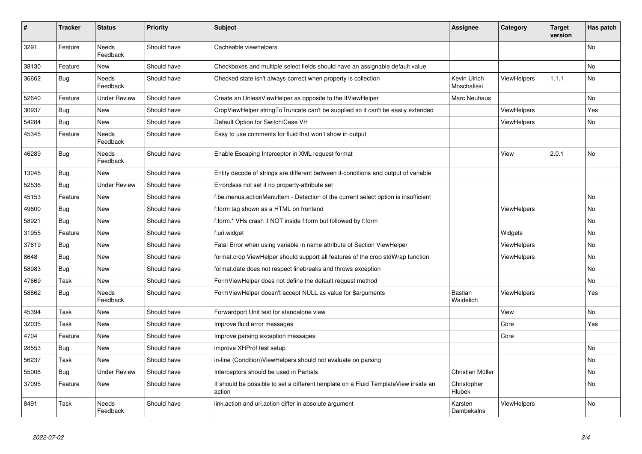| #     | <b>Tracker</b> | <b>Status</b>            | <b>Priority</b> | <b>Subject</b>                                                                                | Assignee                    | Category           | <b>Target</b><br>version | Has patch |
|-------|----------------|--------------------------|-----------------|-----------------------------------------------------------------------------------------------|-----------------------------|--------------------|--------------------------|-----------|
| 3291  | Feature        | Needs<br>Feedback        | Should have     | Cacheable viewhelpers                                                                         |                             |                    |                          | No        |
| 38130 | Feature        | <b>New</b>               | Should have     | Checkboxes and multiple select fields should have an assignable default value                 |                             |                    |                          | <b>No</b> |
| 36662 | <b>Bug</b>     | Needs<br>Feedback        | Should have     | Checked state isn't always correct when property is collection                                | Kevin Ulrich<br>Moschallski | <b>ViewHelpers</b> | 1.1.1                    | No        |
| 52640 | Feature        | <b>Under Review</b>      | Should have     | Create an UnlessViewHelper as opposite to the IfViewHelper                                    | Marc Neuhaus                |                    |                          | <b>No</b> |
| 30937 | <b>Bug</b>     | New                      | Should have     | CropViewHelper stringToTruncate can't be supplied so it can't be easily extended              |                             | <b>ViewHelpers</b> |                          | Yes       |
| 54284 | Bug            | New                      | Should have     | Default Option for Switch/Case VH                                                             |                             | <b>ViewHelpers</b> |                          | No        |
| 45345 | Feature        | <b>Needs</b><br>Feedback | Should have     | Easy to use comments for fluid that won't show in output                                      |                             |                    |                          |           |
| 46289 | Bug            | Needs<br>Feedback        | Should have     | Enable Escaping Interceptor in XML request format                                             |                             | View               | 2.0.1                    | No        |
| 13045 | Bug            | New                      | Should have     | Entity decode of strings are different between if-conditions and output of variable           |                             |                    |                          |           |
| 52536 | Bug            | <b>Under Review</b>      | Should have     | Errorclass not set if no property-attribute set                                               |                             |                    |                          |           |
| 45153 | Feature        | New                      | Should have     | f:be.menus.actionMenuItem - Detection of the current select option is insufficient            |                             |                    |                          | No        |
| 49600 | Bug            | New                      | Should have     | f:form tag shown as a HTML on frontend                                                        |                             | <b>ViewHelpers</b> |                          | No        |
| 58921 | Bug            | New                      | Should have     | f:form.* VHs crash if NOT inside f:form but followed by f:form                                |                             |                    |                          | No        |
| 31955 | Feature        | New                      | Should have     | f:uri.widget                                                                                  |                             | Widgets            |                          | No        |
| 37619 | Bug            | New                      | Should have     | Fatal Error when using variable in name attribute of Section ViewHelper                       |                             | <b>ViewHelpers</b> |                          | No        |
| 8648  | Bug            | New                      | Should have     | format.crop ViewHelper should support all features of the crop stdWrap function               |                             | <b>ViewHelpers</b> |                          | <b>No</b> |
| 58983 | <b>Bug</b>     | New                      | Should have     | format.date does not respect linebreaks and throws exception                                  |                             |                    |                          | No        |
| 47669 | Task           | New                      | Should have     | FormViewHelper does not define the default request method                                     |                             |                    |                          | No        |
| 58862 | Bug            | Needs<br>Feedback        | Should have     | FormViewHelper doesn't accept NULL as value for \$arguments                                   | <b>Bastian</b><br>Waidelich | <b>ViewHelpers</b> |                          | Yes       |
| 45394 | Task           | New                      | Should have     | Forwardport Unit test for standalone view                                                     |                             | View               |                          | No        |
| 32035 | Task           | New                      | Should have     | Improve fluid error messages                                                                  |                             | Core               |                          | Yes       |
| 4704  | Feature        | New                      | Should have     | Improve parsing exception messages                                                            |                             | Core               |                          |           |
| 28553 | <b>Bug</b>     | New                      | Should have     | improve XHProf test setup                                                                     |                             |                    |                          | No        |
| 56237 | Task           | New                      | Should have     | in-line (Condition)ViewHelpers should not evaluate on parsing                                 |                             |                    |                          | No        |
| 55008 | Bug            | Under Review             | Should have     | Interceptors should be used in Partials                                                       | Christian Müller            |                    |                          | No        |
| 37095 | Feature        | New                      | Should have     | It should be possible to set a different template on a Fluid TemplateView inside an<br>action | Christopher<br>Hlubek       |                    |                          | No        |
| 8491  | Task           | Needs<br>Feedback        | Should have     | link.action and uri.action differ in absolute argument                                        | Karsten<br>Dambekalns       | ViewHelpers        |                          | No        |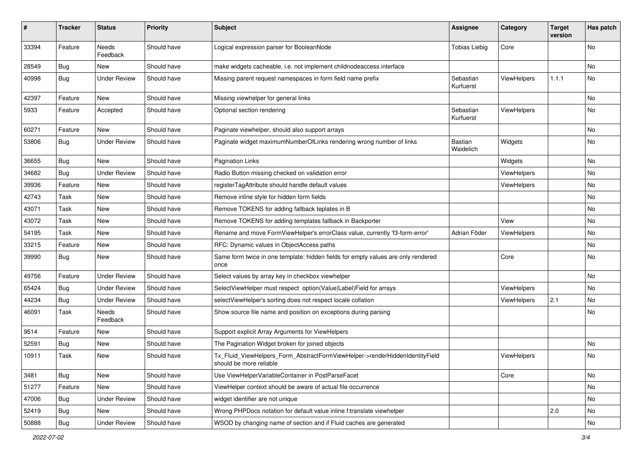| #     | <b>Tracker</b> | <b>Status</b>            | <b>Priority</b> | <b>Subject</b>                                                                                         | <b>Assignee</b>        | Category           | <b>Target</b><br>version | Has patch |
|-------|----------------|--------------------------|-----------------|--------------------------------------------------------------------------------------------------------|------------------------|--------------------|--------------------------|-----------|
| 33394 | Feature        | <b>Needs</b><br>Feedback | Should have     | Logical expression parser for BooleanNode                                                              | <b>Tobias Liebig</b>   | Core               |                          | <b>No</b> |
| 28549 | <b>Bug</b>     | New                      | Should have     | make widgets cacheable, i.e. not implement childnodeaccess interface                                   |                        |                    |                          | No        |
| 40998 | Bug            | <b>Under Review</b>      | Should have     | Missing parent request namespaces in form field name prefix                                            | Sebastian<br>Kurfuerst | ViewHelpers        | 1.1.1                    | No        |
| 42397 | Feature        | <b>New</b>               | Should have     | Missing viewhelper for general links                                                                   |                        |                    |                          | No        |
| 5933  | Feature        | Accepted                 | Should have     | Optional section rendering                                                                             | Sebastian<br>Kurfuerst | ViewHelpers        |                          | No        |
| 60271 | Feature        | New                      | Should have     | Paginate viewhelper, should also support arrays                                                        |                        |                    |                          | No        |
| 53806 | Bug            | <b>Under Review</b>      | Should have     | Paginate widget maximumNumberOfLinks rendering wrong number of links                                   | Bastian<br>Waidelich   | Widgets            |                          | No        |
| 36655 | Bug            | New                      | Should have     | <b>Pagination Links</b>                                                                                |                        | Widgets            |                          | No        |
| 34682 | Bug            | <b>Under Review</b>      | Should have     | Radio Button missing checked on validation error                                                       |                        | <b>ViewHelpers</b> |                          | No        |
| 39936 | Feature        | New                      | Should have     | registerTagAttribute should handle default values                                                      |                        | ViewHelpers        |                          | No        |
| 42743 | Task           | New                      | Should have     | Remove inline style for hidden form fields                                                             |                        |                    |                          | No        |
| 43071 | Task           | New                      | Should have     | Remove TOKENS for adding fallback teplates in B                                                        |                        |                    |                          | No        |
| 43072 | Task           | New                      | Should have     | Remove TOKENS for adding templates fallback in Backporter                                              |                        | View               |                          | No        |
| 54195 | Task           | New                      | Should have     | Rename and move FormViewHelper's errorClass value, currently 'f3-form-error'                           | Adrian Föder           | ViewHelpers        |                          | No        |
| 33215 | Feature        | New                      | Should have     | RFC: Dynamic values in ObjectAccess paths                                                              |                        |                    |                          | No        |
| 39990 | Bug            | New                      | Should have     | Same form twice in one template: hidden fields for empty values are only rendered<br>once              |                        | Core               |                          | No        |
| 49756 | Feature        | <b>Under Review</b>      | Should have     | Select values by array key in checkbox viewhelper                                                      |                        |                    |                          | <b>No</b> |
| 65424 | Bug            | <b>Under Review</b>      | Should have     | SelectViewHelper must respect option(Value Label)Field for arrays                                      |                        | ViewHelpers        |                          | No        |
| 44234 | Bug            | <b>Under Review</b>      | Should have     | selectViewHelper's sorting does not respect locale collation                                           |                        | ViewHelpers        | 2.1                      | No        |
| 46091 | Task           | Needs<br>Feedback        | Should have     | Show source file name and position on exceptions during parsing                                        |                        |                    |                          | No        |
| 9514  | Feature        | New                      | Should have     | Support explicit Array Arguments for ViewHelpers                                                       |                        |                    |                          |           |
| 52591 | Bug            | New                      | Should have     | The Pagination Widget broken for joined objects                                                        |                        |                    |                          | No        |
| 10911 | Task           | New                      | Should have     | Tx_Fluid_ViewHelpers_Form_AbstractFormViewHelper->renderHiddenIdentityField<br>should be more reliable |                        | ViewHelpers        |                          | No        |
| 3481  | Bug            | New                      | Should have     | Use ViewHelperVariableContainer in PostParseFacet                                                      |                        | Core               |                          | No        |
| 51277 | Feature        | New                      | Should have     | ViewHelper context should be aware of actual file occurrence                                           |                        |                    |                          | No        |
| 47006 | Bug            | <b>Under Review</b>      | Should have     | widget identifier are not unique                                                                       |                        |                    |                          | No        |
| 52419 | <b>Bug</b>     | New                      | Should have     | Wrong PHPDocs notation for default value inline f:translate viewhelper                                 |                        |                    | 2.0                      | No        |
| 50888 | Bug            | <b>Under Review</b>      | Should have     | WSOD by changing name of section and if Fluid caches are generated                                     |                        |                    |                          | No        |